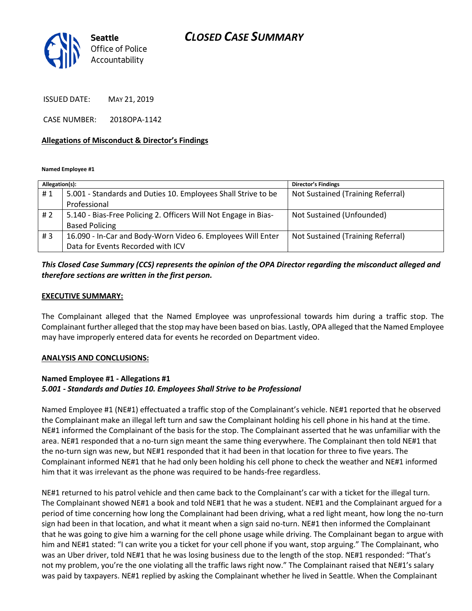

ISSUED DATE: MAY 21, 2019

CASE NUMBER: 2018OPA-1142

#### **Allegations of Misconduct & Director's Findings**

**Named Employee #1**

| Allegation(s): |                                                                 | <b>Director's Findings</b>        |
|----------------|-----------------------------------------------------------------|-----------------------------------|
| #1             | 5.001 - Standards and Duties 10. Employees Shall Strive to be   | Not Sustained (Training Referral) |
|                | Professional                                                    |                                   |
| #2             | 5.140 - Bias-Free Policing 2. Officers Will Not Engage in Bias- | Not Sustained (Unfounded)         |
|                | <b>Based Policing</b>                                           |                                   |
| #3             | 16.090 - In-Car and Body-Worn Video 6. Employees Will Enter     | Not Sustained (Training Referral) |
|                | Data for Events Recorded with ICV                               |                                   |

## *This Closed Case Summary (CCS) represents the opinion of the OPA Director regarding the misconduct alleged and therefore sections are written in the first person.*

#### **EXECUTIVE SUMMARY:**

The Complainant alleged that the Named Employee was unprofessional towards him during a traffic stop. The Complainant further alleged that the stop may have been based on bias. Lastly, OPA alleged that the Named Employee may have improperly entered data for events he recorded on Department video.

#### **ANALYSIS AND CONCLUSIONS:**

#### **Named Employee #1 - Allegations #1** *5.001 - Standards and Duties 10. Employees Shall Strive to be Professional*

Named Employee #1 (NE#1) effectuated a traffic stop of the Complainant's vehicle. NE#1 reported that he observed the Complainant make an illegal left turn and saw the Complainant holding his cell phone in his hand at the time. NE#1 informed the Complainant of the basis for the stop. The Complainant asserted that he was unfamiliar with the area. NE#1 responded that a no-turn sign meant the same thing everywhere. The Complainant then told NE#1 that the no-turn sign was new, but NE#1 responded that it had been in that location for three to five years. The Complainant informed NE#1 that he had only been holding his cell phone to check the weather and NE#1 informed him that it was irrelevant as the phone was required to be hands-free regardless.

NE#1 returned to his patrol vehicle and then came back to the Complainant's car with a ticket for the illegal turn. The Complainant showed NE#1 a book and told NE#1 that he was a student. NE#1 and the Complainant argued for a period of time concerning how long the Complainant had been driving, what a red light meant, how long the no-turn sign had been in that location, and what it meant when a sign said no-turn. NE#1 then informed the Complainant that he was going to give him a warning for the cell phone usage while driving. The Complainant began to argue with him and NE#1 stated: "I can write you a ticket for your cell phone if you want, stop arguing." The Complainant, who was an Uber driver, told NE#1 that he was losing business due to the length of the stop. NE#1 responded: "That's not my problem, you're the one violating all the traffic laws right now." The Complainant raised that NE#1's salary was paid by taxpayers. NE#1 replied by asking the Complainant whether he lived in Seattle. When the Complainant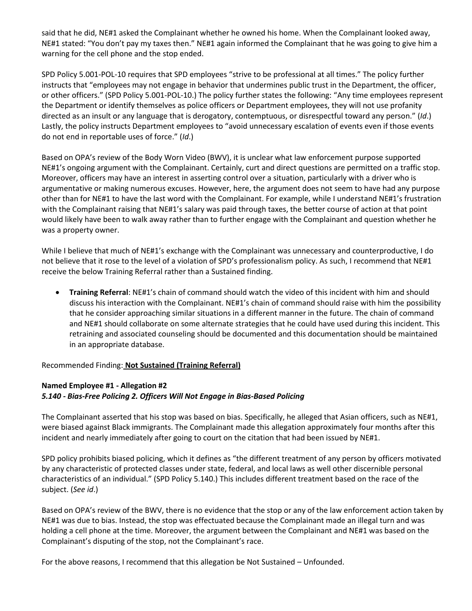said that he did, NE#1 asked the Complainant whether he owned his home. When the Complainant looked away, NE#1 stated: "You don't pay my taxes then." NE#1 again informed the Complainant that he was going to give him a warning for the cell phone and the stop ended.

SPD Policy 5.001-POL-10 requires that SPD employees "strive to be professional at all times." The policy further instructs that "employees may not engage in behavior that undermines public trust in the Department, the officer, or other officers." (SPD Policy 5.001-POL-10.) The policy further states the following: "Any time employees represent the Department or identify themselves as police officers or Department employees, they will not use profanity directed as an insult or any language that is derogatory, contemptuous, or disrespectful toward any person." (*Id*.) Lastly, the policy instructs Department employees to "avoid unnecessary escalation of events even if those events do not end in reportable uses of force." (*Id*.)

Based on OPA's review of the Body Worn Video (BWV), it is unclear what law enforcement purpose supported NE#1's ongoing argument with the Complainant. Certainly, curt and direct questions are permitted on a traffic stop. Moreover, officers may have an interest in asserting control over a situation, particularly with a driver who is argumentative or making numerous excuses. However, here, the argument does not seem to have had any purpose other than for NE#1 to have the last word with the Complainant. For example, while I understand NE#1's frustration with the Complainant raising that NE#1's salary was paid through taxes, the better course of action at that point would likely have been to walk away rather than to further engage with the Complainant and question whether he was a property owner.

While I believe that much of NE#1's exchange with the Complainant was unnecessary and counterproductive, I do not believe that it rose to the level of a violation of SPD's professionalism policy. As such, I recommend that NE#1 receive the below Training Referral rather than a Sustained finding.

• **Training Referral**: NE#1's chain of command should watch the video of this incident with him and should discuss his interaction with the Complainant. NE#1's chain of command should raise with him the possibility that he consider approaching similar situations in a different manner in the future. The chain of command and NE#1 should collaborate on some alternate strategies that he could have used during this incident. This retraining and associated counseling should be documented and this documentation should be maintained in an appropriate database.

Recommended Finding: **Not Sustained (Training Referral)**

# **Named Employee #1 - Allegation #2** *5.140 - Bias-Free Policing 2. Officers Will Not Engage in Bias-Based Policing*

The Complainant asserted that his stop was based on bias. Specifically, he alleged that Asian officers, such as NE#1, were biased against Black immigrants. The Complainant made this allegation approximately four months after this incident and nearly immediately after going to court on the citation that had been issued by NE#1.

SPD policy prohibits biased policing, which it defines as "the different treatment of any person by officers motivated by any characteristic of protected classes under state, federal, and local laws as well other discernible personal characteristics of an individual." (SPD Policy 5.140.) This includes different treatment based on the race of the subject. (*See id*.)

Based on OPA's review of the BWV, there is no evidence that the stop or any of the law enforcement action taken by NE#1 was due to bias. Instead, the stop was effectuated because the Complainant made an illegal turn and was holding a cell phone at the time. Moreover, the argument between the Complainant and NE#1 was based on the Complainant's disputing of the stop, not the Complainant's race.

For the above reasons, I recommend that this allegation be Not Sustained – Unfounded.